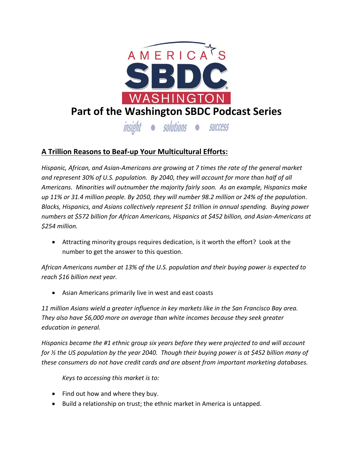

## **A Trillion Reasons to Beaf-up Your Multicultural Efforts:**

*Hispanic, African, and Asian-Americans are growing at 7 times the rate of the general market and represent 30% of U.S. population. By 2040, they will account for more than half of all Americans. Minorities will outnumber the majority fairly soon. As an example, Hispanics make up 11% or 31.4 million people. By 2050, they will number 98.2 million or 24% of the population. Blacks, Hispanics, and Asians collectively represent \$1 trillion in annual spending. Buying power numbers at \$572 billion for African Americans, Hispanics at \$452 billion, and Asian-Americans at \$254 million.*

 Attracting minority groups requires dedication, is it worth the effort? Look at the number to get the answer to this question.

*African Americans number at 13% of the U.S. population and their buying power is expected to reach \$16 billion next year.*

Asian Americans primarily live in west and east coasts

*11 million Asians wield a greater influence in key markets like in the San Francisco Bay area. They also have \$6,000 more on average than white incomes because they seek greater education in general.* 

*Hispanics became the #1 ethnic group six years before they were projected to and will account for ½ the US population by the year 2040. Though their buying power is at \$452 billion many of these consumers do not have credit cards and are absent from important marketing databases.* 

*Keys to accessing this market is to:*

- Find out how and where they buy.
- Build a relationship on trust; the ethnic market in America is untapped.